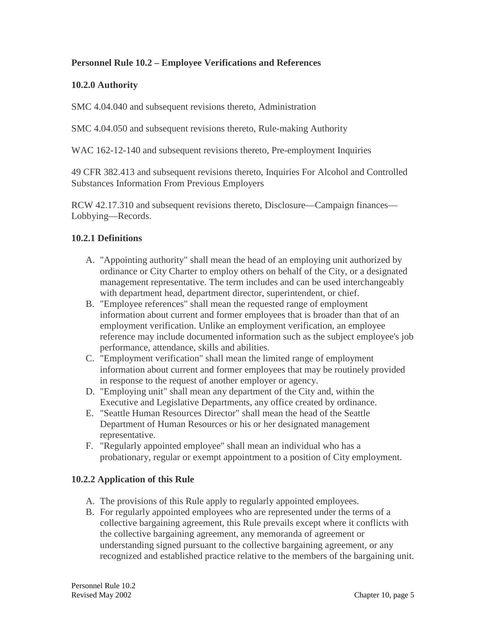### **Personnel Rule 10.2 – Employee Verifications and References**

### **10.2.0 Authority**

SMC 4.04.040 and subsequent revisions thereto, Administration

SMC 4.04.050 and subsequent revisions thereto, Rule-making Authority

WAC 162-12-140 and subsequent revisions thereto, Pre-employment Inquiries

49 CFR 382.413 and subsequent revisions thereto, Inquiries For Alcohol and Controlled Substances Information From Previous Employers

RCW 42.17.310 and subsequent revisions thereto, Disclosure—Campaign finances— Lobbying—Records.

### **10.2.1 Definitions**

- A. "Appointing authority" shall mean the head of an employing unit authorized by ordinance or City Charter to employ others on behalf of the City, or a designated management representative. The term includes and can be used interchangeably with department head, department director, superintendent, or chief.
- B. "Employee references" shall mean the requested range of employment information about current and former employees that is broader than that of an employment verification. Unlike an employment verification, an employee reference may include documented information such as the subject employee's job performance, attendance, skills and abilities.
- C. "Employment verification" shall mean the limited range of employment information about current and former employees that may be routinely provided in response to the request of another employer or agency.
- D. "Employing unit" shall mean any department of the City and, within the Executive and Legislative Departments, any office created by ordinance.
- E. "Seattle Human Resources Director" shall mean the head of the Seattle Department of Human Resources or his or her designated management representative.
- F. "Regularly appointed employee" shall mean an individual who has a probationary, regular or exempt appointment to a position of City employment.

### **10.2.2 Application of this Rule**

- A. The provisions of this Rule apply to regularly appointed employees.
- B. For regularly appointed employees who are represented under the terms of a collective bargaining agreement, this Rule prevails except where it conflicts with the collective bargaining agreement, any memoranda of agreement or understanding signed pursuant to the collective bargaining agreement, or any recognized and established practice relative to the members of the bargaining unit.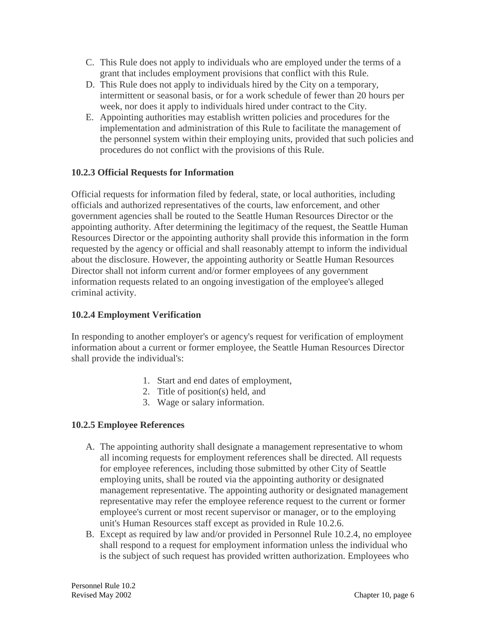- C. This Rule does not apply to individuals who are employed under the terms of a grant that includes employment provisions that conflict with this Rule.
- D. This Rule does not apply to individuals hired by the City on a temporary, intermittent or seasonal basis, or for a work schedule of fewer than 20 hours per week, nor does it apply to individuals hired under contract to the City.
- E. Appointing authorities may establish written policies and procedures for the implementation and administration of this Rule to facilitate the management of the personnel system within their employing units, provided that such policies and procedures do not conflict with the provisions of this Rule.

# **10.2.3 Official Requests for Information**

Official requests for information filed by federal, state, or local authorities, including officials and authorized representatives of the courts, law enforcement, and other government agencies shall be routed to the Seattle Human Resources Director or the appointing authority. After determining the legitimacy of the request, the Seattle Human Resources Director or the appointing authority shall provide this information in the form requested by the agency or official and shall reasonably attempt to inform the individual about the disclosure. However, the appointing authority or Seattle Human Resources Director shall not inform current and/or former employees of any government information requests related to an ongoing investigation of the employee's alleged criminal activity.

# **10.2.4 Employment Verification**

In responding to another employer's or agency's request for verification of employment information about a current or former employee, the Seattle Human Resources Director shall provide the individual's:

- 1. Start and end dates of employment,
- 2. Title of position(s) held, and
- 3. Wage or salary information.

# **10.2.5 Employee References**

- A. The appointing authority shall designate a management representative to whom all incoming requests for employment references shall be directed. All requests for employee references, including those submitted by other City of Seattle employing units, shall be routed via the appointing authority or designated management representative. The appointing authority or designated management representative may refer the employee reference request to the current or former employee's current or most recent supervisor or manager, or to the employing unit's Human Resources staff except as provided in Rule 10.2.6.
- B. Except as required by law and/or provided in Personnel Rule 10.2.4, no employee shall respond to a request for employment information unless the individual who is the subject of such request has provided written authorization. Employees who